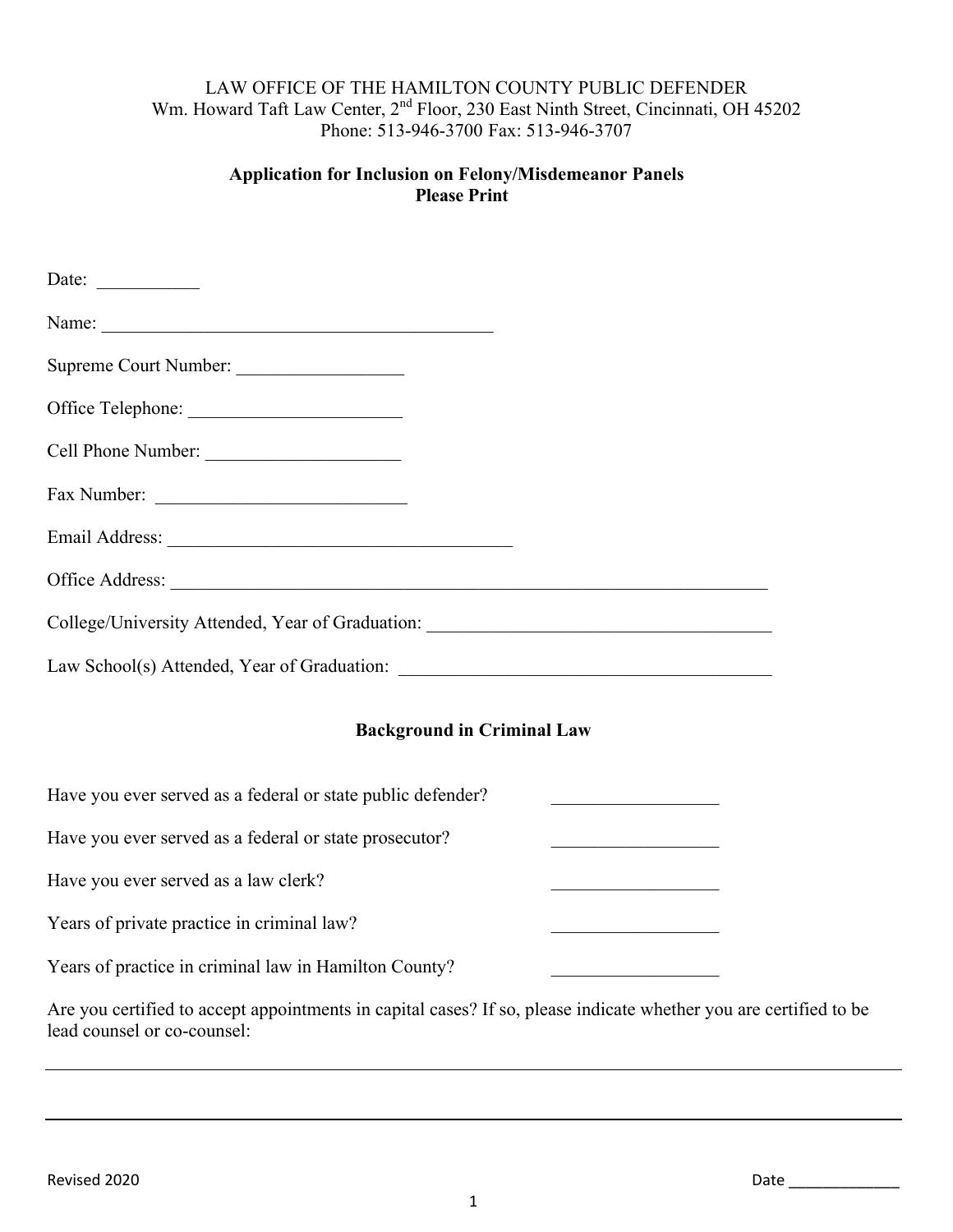## LAW OFFICE OF THE HAMILTON COUNTY PUBLIC DEFENDER Wm. Howard Taft Law Center, 2<sup>nd</sup> Floor, 230 East Ninth Street, Cincinnati, OH 45202 Phone: 513-946-3700 Fax: 513-946-3707

## **Application for Inclusion on Felony/Misdemeanor Panels Please Print**

| Date: $\qquad \qquad$                                                            |                                                                                                                      |
|----------------------------------------------------------------------------------|----------------------------------------------------------------------------------------------------------------------|
|                                                                                  |                                                                                                                      |
| Supreme Court Number:                                                            |                                                                                                                      |
|                                                                                  |                                                                                                                      |
| Cell Phone Number:                                                               |                                                                                                                      |
| Fax Number:                                                                      |                                                                                                                      |
|                                                                                  |                                                                                                                      |
|                                                                                  |                                                                                                                      |
| College/University Attended, Year of Graduation: _______________________________ |                                                                                                                      |
|                                                                                  |                                                                                                                      |
| <b>Background in Criminal Law</b>                                                |                                                                                                                      |
| Have you ever served as a federal or state public defender?                      |                                                                                                                      |
| Have you ever served as a federal or state prosecutor?                           | <u> 1990 - Johann Barbara, martxa alemani</u> a                                                                      |
| Have you ever served as a law clerk?                                             |                                                                                                                      |
| Years of private practice in criminal law?                                       | <u> 1989 - Johann John Stein, mars ar yw y cynnwys y cynnwys y cynnwys y cynnwys y cynnwys y cynnwys y cynnwys y</u> |
| Years of practice in criminal law in Hamilton County?                            |                                                                                                                      |

Are you certified to accept appointments in capital cases? If so, please indicate whether you are certified to be lead counsel or co-counsel: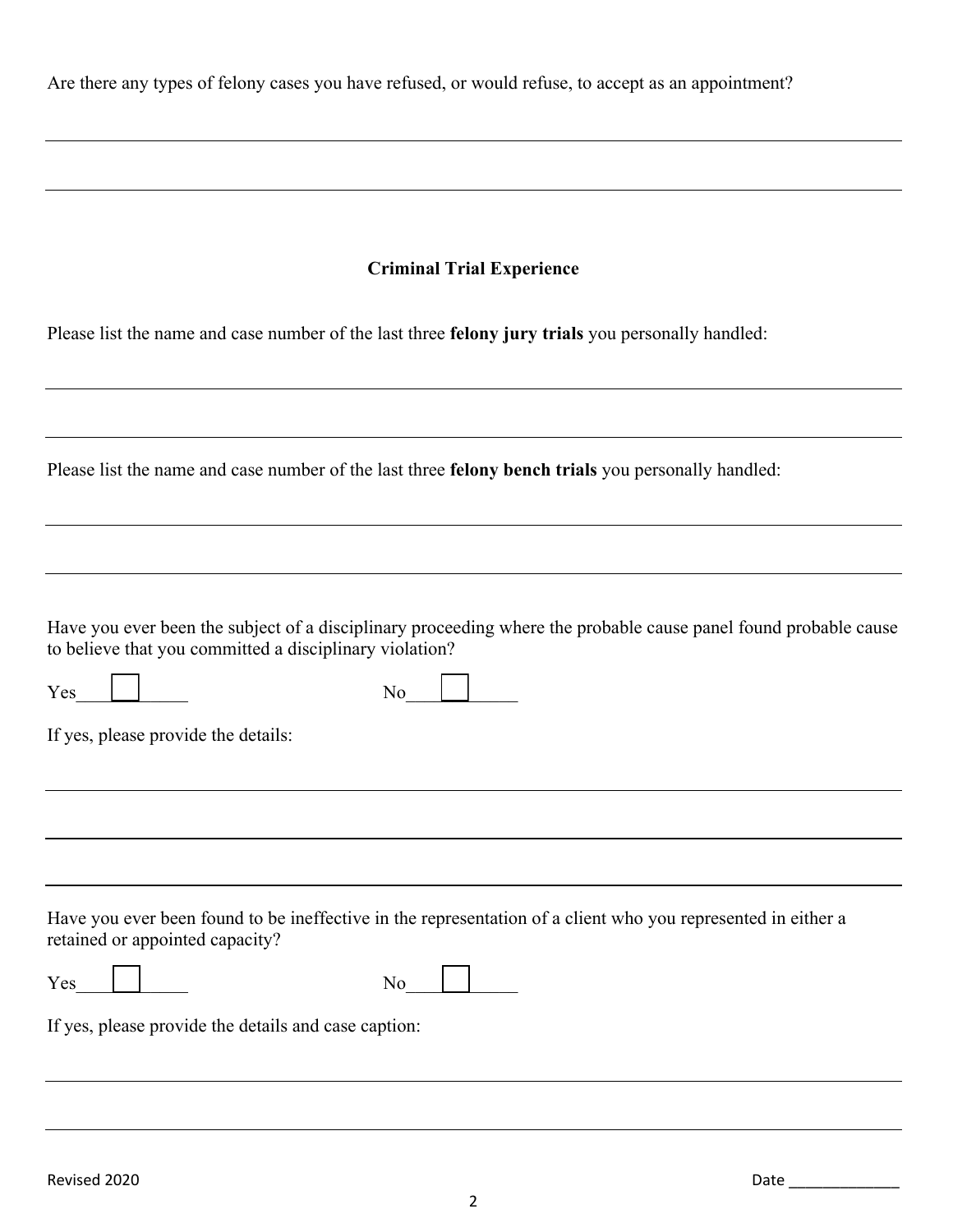Are there any types of felony cases you have refused, or would refuse, to accept as an appointment?

Please list the name and case number of the last three **felony jury trials** you personally handled:

Please list the name and case number of the last three **felony bench trials** you personally handled:

Have you ever been the subject of a disciplinary proceeding where the probable cause panel found probable cause to believe that you committed a disciplinary violation?

| Yes | N.<br>∽<br>11 V |  |
|-----|-----------------|--|
|     |                 |  |

If yes, please provide the details:

Have you ever been found to be ineffective in the representation of a client who you represented in either a retained or appointed capacity?

| $\bf{V}$ | - |
|----------|---|
| -        |   |

If yes, please provide the details and case caption: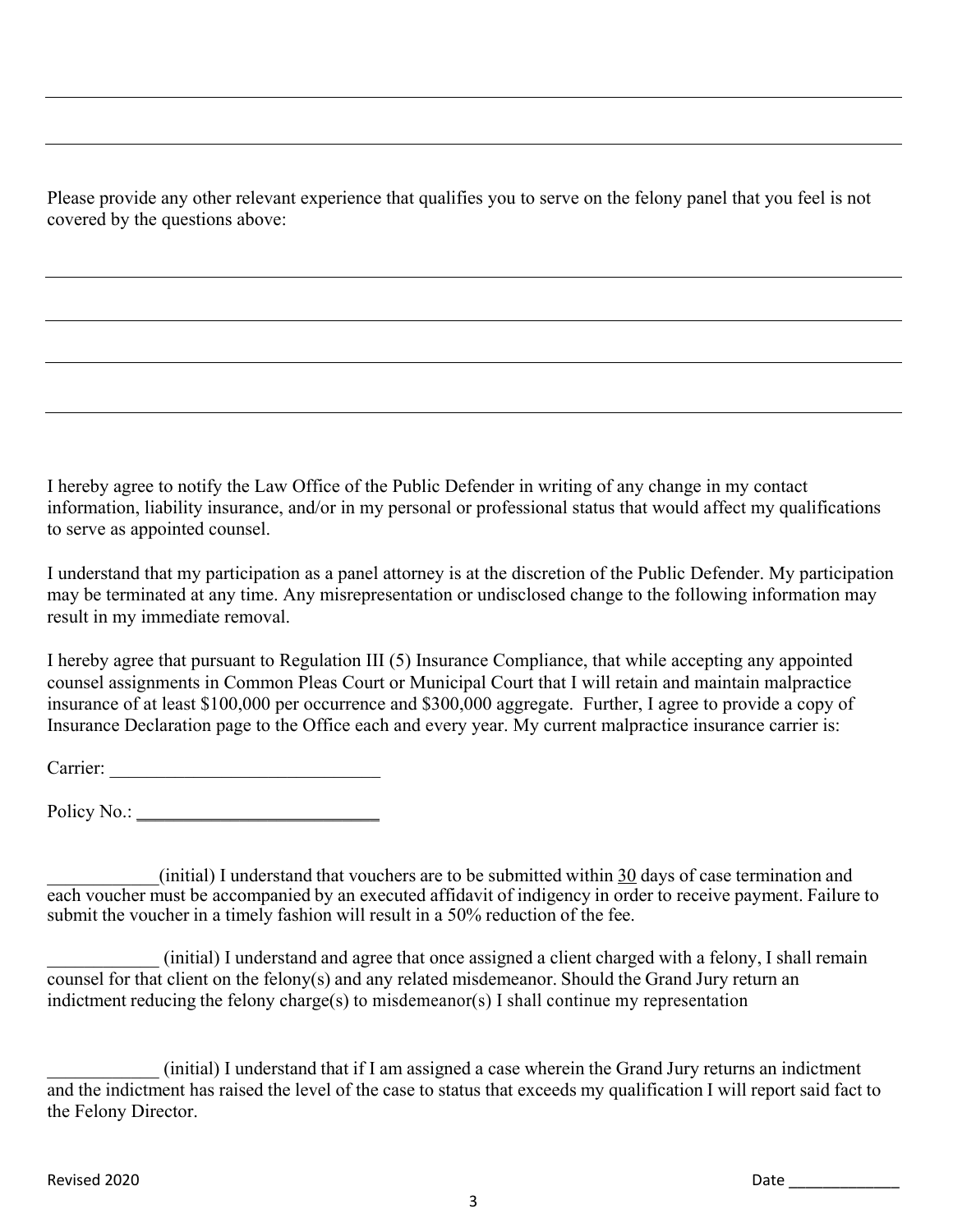Please provide any other relevant experience that qualifies you to serve on the felony panel that you feel is not covered by the questions above:

I hereby agree to notify the Law Office of the Public Defender in writing of any change in my contact information, liability insurance, and/or in my personal or professional status that would affect my qualifications to serve as appointed counsel.

I understand that my participation as a panel attorney is at the discretion of the Public Defender. My participation may be terminated at any time. Any misrepresentation or undisclosed change to the following information may result in my immediate removal.

I hereby agree that pursuant to Regulation III (5) Insurance Compliance, that while accepting any appointed counsel assignments in Common Pleas Court or Municipal Court that I will retain and maintain malpractice insurance of at least \$100,000 per occurrence and \$300,000 aggregate. Further, I agree to provide a copy of Insurance Declaration page to the Office each and every year. My current malpractice insurance carrier is:

Carrier: \_\_\_\_\_\_\_\_\_\_\_\_\_\_\_\_\_\_\_\_\_\_\_\_\_\_\_\_\_

Policy No.:

\_\_\_\_\_\_\_\_\_\_\_\_(initial) I understand that vouchers are to be submitted within 30 days of case termination and each voucher must be accompanied by an executed affidavit of indigency in order to receive payment. Failure to submit the voucher in a timely fashion will result in a 50% reduction of the fee.

\_\_\_\_\_\_\_\_\_\_\_\_ (initial) I understand and agree that once assigned a client charged with a felony, I shall remain counsel for that client on the felony(s) and any related misdemeanor. Should the Grand Jury return an indictment reducing the felony charge(s) to misdemeanor(s) I shall continue my representation

\_\_\_\_\_\_\_\_\_\_\_\_ (initial) I understand that if I am assigned a case wherein the Grand Jury returns an indictment and the indictment has raised the level of the case to status that exceeds my qualification I will report said fact to the Felony Director.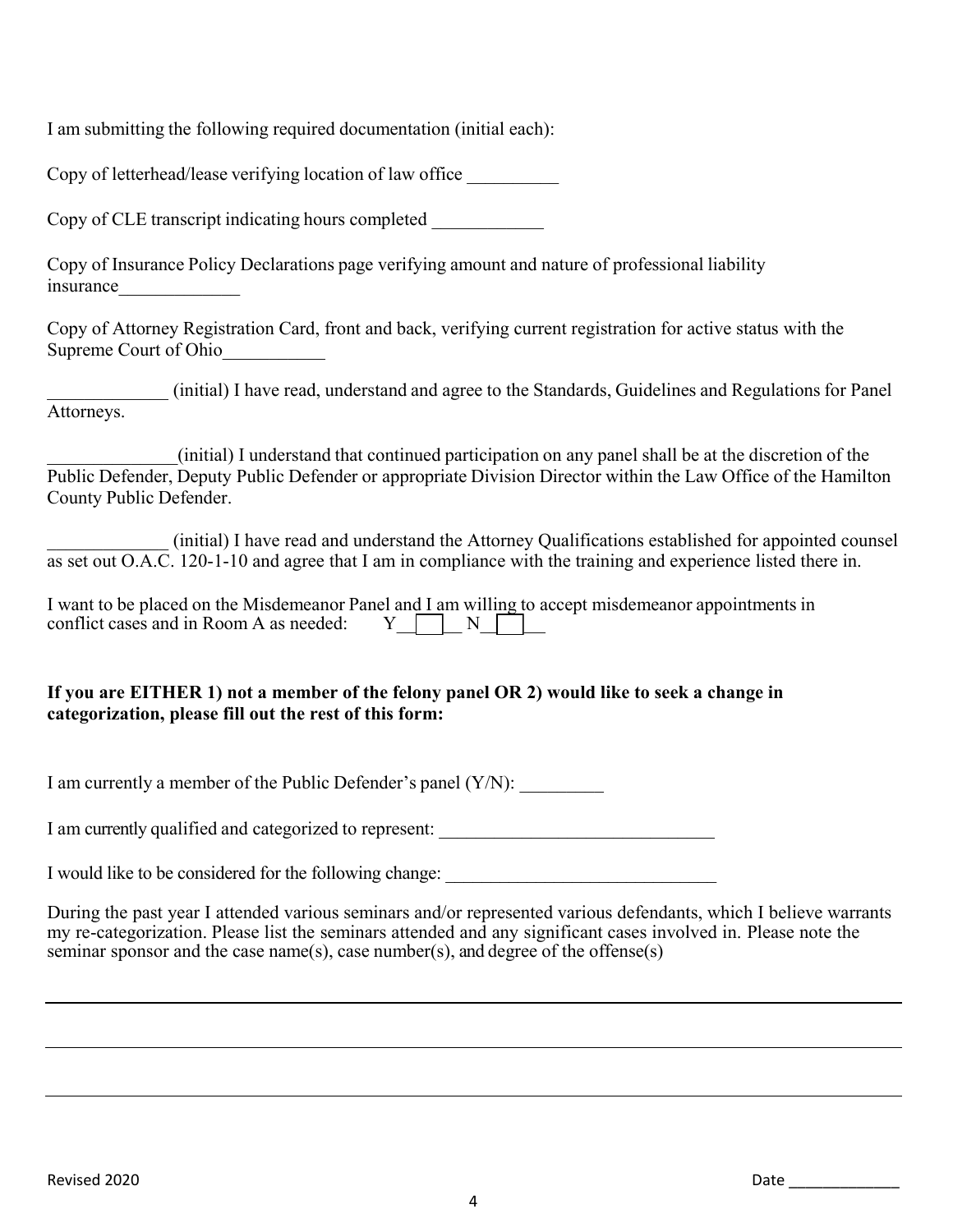I am submitting the following required documentation (initial each):

Copy of letterhead/lease verifying location of law office \_\_\_\_\_\_\_\_\_\_

Copy of CLE transcript indicating hours completed

Copy of Insurance Policy Declarations page verifying amount and nature of professional liability insurance

Copy of Attorney Registration Card, front and back, verifying current registration for active status with the Supreme Court of Ohio

\_\_\_\_\_\_\_\_\_\_\_\_\_ (initial) I have read, understand and agree to the Standards, Guidelines and Regulations for Panel Attorneys.

\_\_\_\_\_\_\_\_\_\_\_\_\_\_(initial) I understand that continued participation on any panel shall be at the discretion of the Public Defender, Deputy Public Defender or appropriate Division Director within the Law Office of the Hamilton County Public Defender.

\_\_\_\_\_\_\_\_\_\_\_\_\_ (initial) I have read and understand the Attorney Qualifications established for appointed counsel as set out O.A.C. 120-1-10 and agree that I am in compliance with the training and experience listed there in.

I want to be placed on the Misdemeanor Panel and I am willing to accept misdemeanor appointments in conflict cases and in Room A as needed:  $Y \cap N$ conflict cases and in Room A as needed:

## **If you are EITHER 1) not a member of the felony panel OR 2) would like to seek a change in categorization, please fill out the rest of this form:**

I am currently a member of the Public Defender's panel (Y/N):

I am currently qualified and categorized to represent:

I would like to be considered for the following change: \_\_\_\_\_\_\_\_\_\_\_\_\_\_\_\_\_\_\_\_\_\_\_\_

During the past year I attended various seminars and/or represented various defendants, which I believe warrants my re-categorization. Please list the seminars attended and any significant cases involved in. Please note the seminar sponsor and the case name(s), case number(s), and degree of the offense(s)